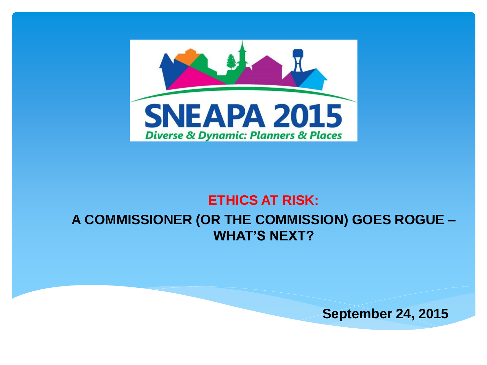

#### **ETHICS AT RISK: A COMMISSIONER (OR THE COMMISSION) GOES ROGUE – WHAT'S NEXT?**

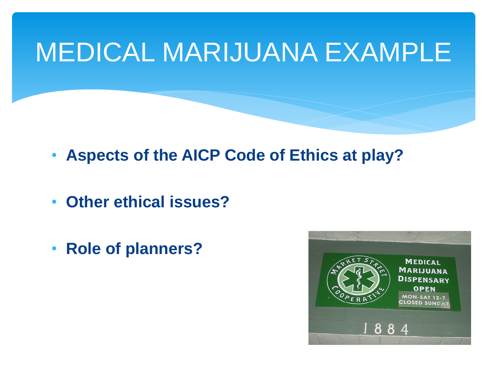### MEDICAL MARIJUANA EXAMPLE

- **Aspects of the AICP Code of Ethics at play?**
- **Other ethical issues?**
- **Role of planners?**

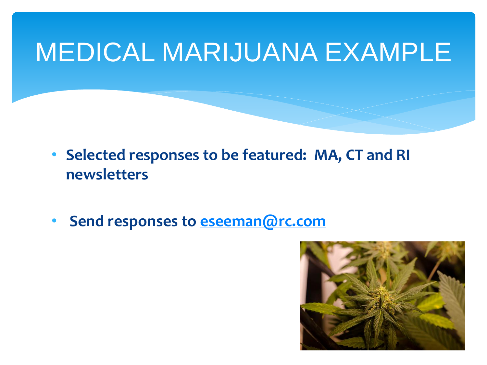### MEDICAL MARIJUANA EXAMPLE

- **Selected responses to be featured: MA, CT and RI newsletters**
- **Send responses to [eseeman@rc.com](mailto:eseeman@rc.com)**

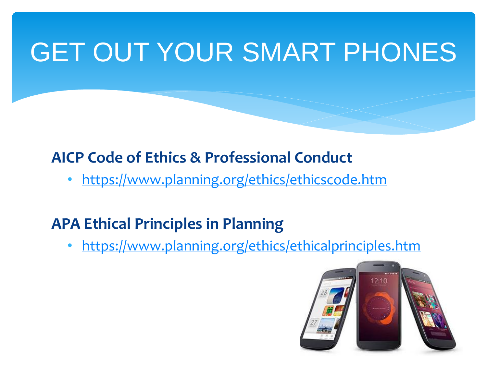### GET OUT YOUR SMART PHONES

#### **AICP Code of Ethics & Professional Conduct**

• <https://www.planning.org/ethics/ethicscode.htm>

#### **APA Ethical Principles in Planning**

• <https://www.planning.org/ethics/ethicalprinciples.htm>

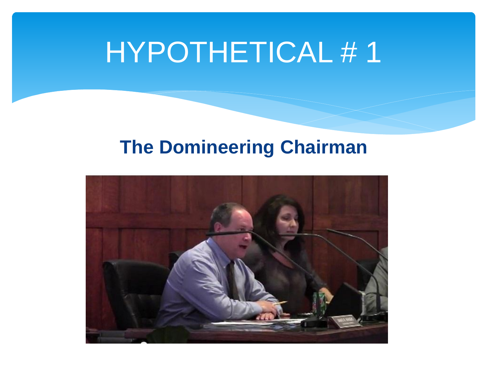#### **The Domineering Chairman**

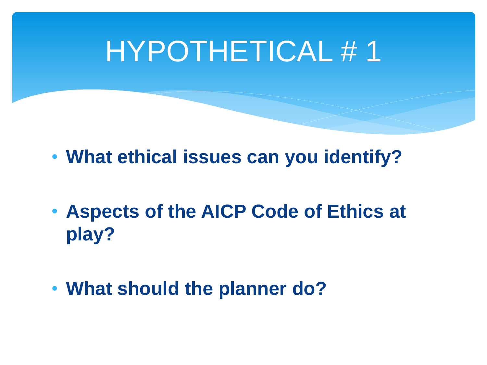- **What ethical issues can you identify?**
- **Aspects of the AICP Code of Ethics at play?**
- **What should the planner do?**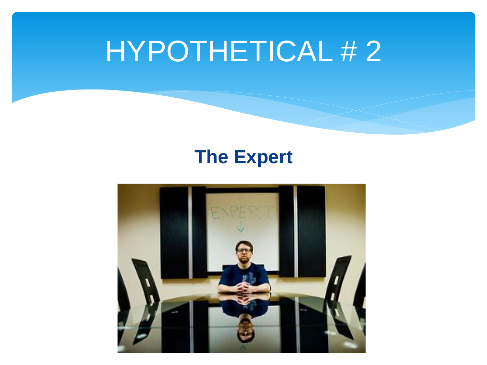#### **The Expert**

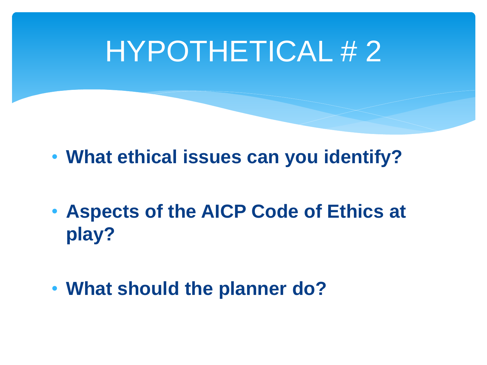- **What ethical issues can you identify?**
- **Aspects of the AICP Code of Ethics at play?**
- **What should the planner do?**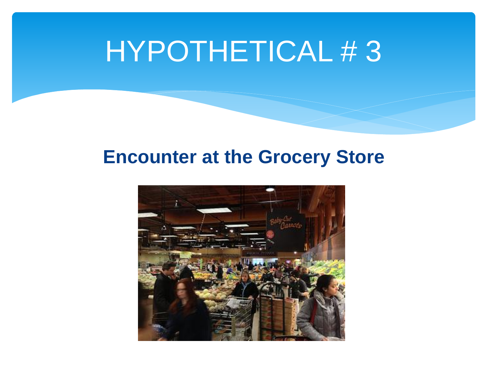#### **Encounter at the Grocery Store**

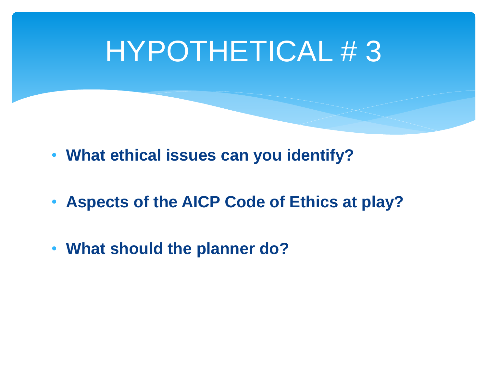- **What ethical issues can you identify?**
- **Aspects of the AICP Code of Ethics at play?**
- **What should the planner do?**